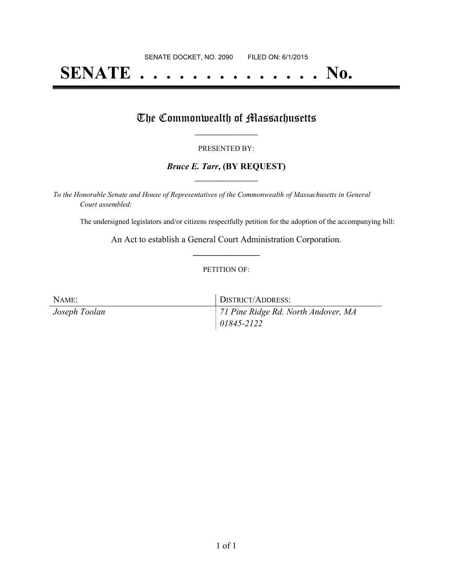# **SENATE . . . . . . . . . . . . . . No.**

## The Commonwealth of Massachusetts

#### PRESENTED BY:

#### *Bruce E. Tarr***, (BY REQUEST) \_\_\_\_\_\_\_\_\_\_\_\_\_\_\_\_\_**

*To the Honorable Senate and House of Representatives of the Commonwealth of Massachusetts in General Court assembled:*

The undersigned legislators and/or citizens respectfully petition for the adoption of the accompanying bill:

An Act to establish a General Court Administration Corporation. **\_\_\_\_\_\_\_\_\_\_\_\_\_\_\_**

#### PETITION OF:

| NAME:         | DISTRICT/ADDRESS:                   |
|---------------|-------------------------------------|
| Joseph Toolan | 71 Pine Ridge Rd. North Andover, MA |
|               | $ 01845 - 2122 $                    |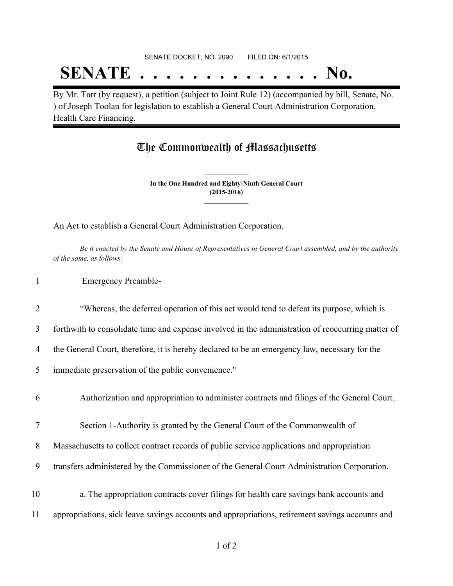### SENATE DOCKET, NO. 2090 FILED ON: 6/1/2015

## **SENATE . . . . . . . . . . . . . . No.**

By Mr. Tarr (by request), a petition (subject to Joint Rule 12) (accompanied by bill, Senate, No. ) of Joseph Toolan for legislation to establish a General Court Administration Corporation. Health Care Financing.

### The Commonwealth of Massachusetts

**In the One Hundred and Eighty-Ninth General Court (2015-2016) \_\_\_\_\_\_\_\_\_\_\_\_\_\_\_**

**\_\_\_\_\_\_\_\_\_\_\_\_\_\_\_**

An Act to establish a General Court Administration Corporation.

Be it enacted by the Senate and House of Representatives in General Court assembled, and by the authority *of the same, as follows:*

1 Emergency Preamble-

2 "Whereas, the deferred operation of this act would tend to defeat its purpose, which is

3 forthwith to consolidate time and expense involved in the administration of reoccurring matter of

4 the General Court, therefore, it is hereby declared to be an emergency law, necessary for the

5 immediate preservation of the public convenience."

6 Authorization and appropriation to administer contracts and filings of the General Court.

7 Section 1-Authority is granted by the General Court of the Commonwealth of

8 Massachusetts to collect contract records of public service applications and appropriation

9 transfers administered by the Commissioner of the General Court Administration Corporation.

10 a. The appropriation contracts cover filings for health care savings bank accounts and 11 appropriations, sick leave savings accounts and appropriations, retirement savings accounts and